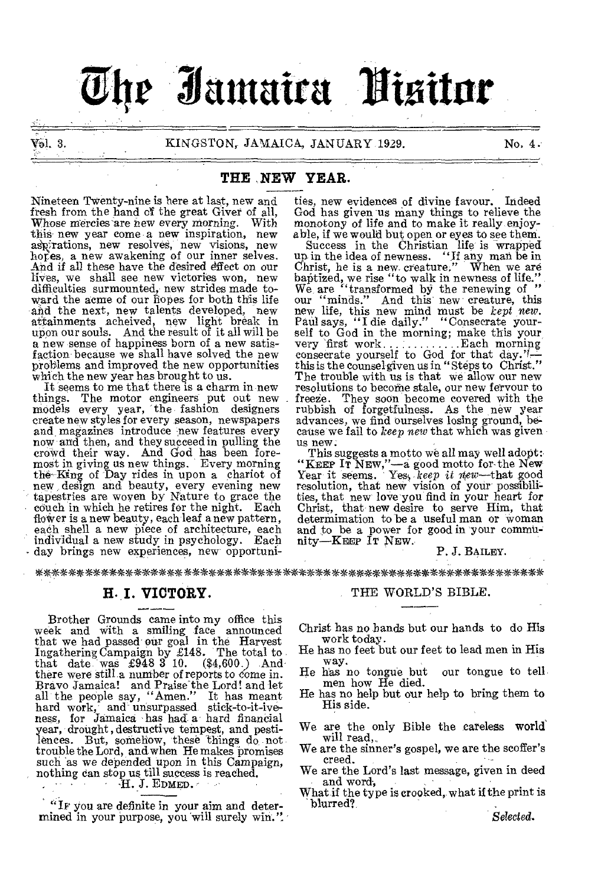# **Jantaira 'Visitor**

### Val. 3. KINGSTON, JAMAICA, JANUARY 1929. No. 4.

### **THE .NEW YEAR.**

Nineteen Twenty-nine is here at last, new and fresh from the hand of the great Giver of all, Whose mercies are new every morning. With this new year come a new inspiration, new aspirations, new resolves, new visions, new hopes, a new awakening of our inner selves. And if all these have the desired effect on our lives, we shall see new victories won, new difficulties surmounted, new strides made toward the acme of our hopes for both this life and the next, new talents developed, new attainments acheived, new light break in upon our souls. And the result of it all will be a new sense of happiness born of a new satisfaction because we shall have solved the new problems and improved the new opportunities which the new year has brought to us.

It seems to me that there is a charm in new things. The motor engineers put out new models every year, 'the fashion designers create new styles for every season, newspapers and magazines introduce new features every now and then, and they succeed in pulling the crowd their way. And God has been foremost in giving us new things. Every morning the- King of Day rides in upon a chariot of new design and beauty, every evening new tapestries are woven by Nature to grace the couch in which he retires for the night. Each floWer is a new beauty, each leaf a new pattern, each shell a new piece of architecture, each individual a new study in psychology. Each day brings new experiences, new opportunities, new evidences of divine favour. Indeed God has given us many things to relieve the monotony of life and to make it really enjoy-

able, if we would but open or eyes to see theni. Success in the Christian life is wrapped up in the idea of newness. "If any man be in Christ, he is a new, creature." When we are baptized, we rise "to walk in newness of life."<br>We are "transformed by the renewing of "<br>our "minds." And this new creature, this<br>new life, this new mind must be *kept new*.<br>Paul says, "I die daily." "Consecrate yourself to God in the morning; make this your very first work Each morning consecrate yourself to God for that day.'f— this is the counsel given us in " Steps to Christ." The trouble with us is that we allow our new resolutions to become stale, our new fervour to freeze. They soon become covered with the rubbish of forgetfulness. As the new year advances, we find ourselves losing ground, because we fail to *keep new* that which was given us new:

This suggests a motto we all may well adopt: "KEEP IT NEW,"—a good motto for the New<br>Year it seems. Yes, *keep it new*—that good<br>resolution, that new vision of your possibilities, that new love you find in your heart *for*  Christ, that new desire to serve Him, that determimation to be a useful man or woman and to be a power for good in your community—KEEP IT NEW.

### P. J. BAILEY.

\*\*\*\*\*\*\*\*\*\*\*\*\*\*\*\*\*\*\*\*\*\*\*\*\*\*\*\*\* \*\*\*\* \*\*\*\*\*\*\*\*\*\*\*\*\*\*\*\*\*IM\*\*\*\*\*\*\*

### **I. VICTORY.**

H. I. VICTORY.<br>
Brother Grounds came into my office this<br>
week and with a smiling face announced<br>
that we had passed our goal in the Harvest Ingathering Campaign by £148. The total to that date- was £948 3 10. (\$4,600.) And there were still a number of reports to come in. Bravo Jamaica! and Praise the Lord! and let all the people say, "Amen." It has meant hard work, and unsurpassed stick-to-it-ive-<br>ness, for Jamaica has had a hard financial year, drought, destructive tempest, and pestilences. But, somehow, these things do not trouble the Lord, and when He makes promises such as we depended upon in this Campaign, nothing can stop us till success is reached.<br>H. J. EDMED.

"IF you are definite in your aim and determined in your purpose, you will surely win.".

### THE WORLD'S BIBLE.

Christ has no hands but our hands to do His work today.

- He has no feet but our feet to lead men in His way.
- He has no tongue but our tongue to tell men how He died.
- He has no help but our help to bring them to His side.
- We are the only Bible the careless world' will read,
- We are the sinner's gospel, we are the scoffer's creed.
- We are the Lord's last message, given in deed and word,
- What if the type is crooked, what if the print is blurred?

*Selected.*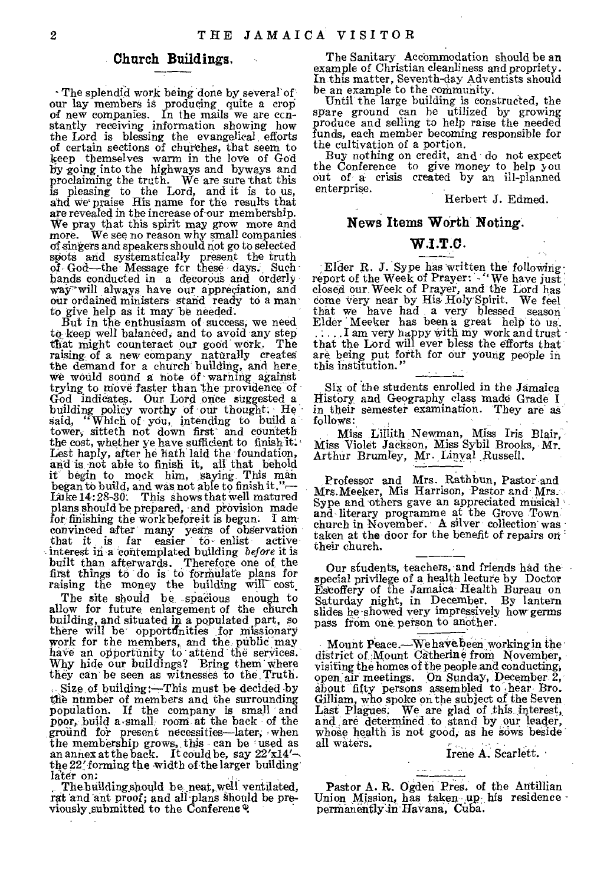### **Church Buildings,**

The splendid work being done by several of our lay members is producing quite a crop of new companies. In the mails we are ccn-stantly receiving information showing how the Lord is blessing the evangelical efforts of certain sections of chuithes, that seem to keep themselves warm in the love of God by going into the highways and byways and proclaiming the truth. We are sure that this is pleasing to the Lord, and it is to us, and we praise His name for the results that are revealed in the increase of-our membership. We pray that this spirit may grow more and more. We see no reason why small companies of singers and speakers should not go to selected spots and systematically present the truth of God—the Message fcr these days. Such bands conducted in a decorous and orderly way'' will always have our appreciation, and<br>our ordained ministers. stand ready to a man<br>to give help as it may be needed.<br>But in the enthusiasm of success; we need<br>to keep well balanced, and to avoid any step.

that might counteract our good work. The raising of a new company naturally creates the demand for a church building, and here, we would sound a note Of warning againat trying to move faster than the providence of God indicates. Our Lord once suggested a building policy worthy of our thought. He said, "Which of you, intending to build a tower, sitteth not down first and counteth the cost, whether ye have sufficient to finish it: Lest haply, after he bath laid the foundation, and is not able to finish it, all that behold it begin to mock him, saying This man began to build, and was not able to finish it."-Luke 14: 28-30: This shows that well matured plans should be prepared, and provision made for-finishing the work before it is begun. I amconvinced after many years of observation that it is far easier to enlist active interest in a contemplated building *before* it is built than afterwards. Therefore one of the first things to do is to formulate plans for r

The site should be spacious enough to allow for future enlargement of the church building, and situated in a populated part, so there will be opportunities for missionary work for the members, and the public may have an opportunity to attend the services.<br>Why hide our buildings? Bring them where they can be seen as witnesses to the, Truth. Size of building:-This must be decided by tie number of members and the surrounding population. If the company is small and poor, build a smally room at the back of the ground for present necessities-later, when the membership grows,, this - can be used as an annex at the back. It could be, say  $22'x14' \sim$ <br>the 22' forming the width of the larger building<br>later on:

The building should be neat, well ventilated, rat and ant proof; and all plans should be previously,submitted to the Conferene

The Sanitary Accommodation should be an example of Christian cleanliness and propriety. In this matter, Seventh-day Adventists should be an example to the community.

Until the large building is constructed, the spare ground can he utilized by growing produce and selling to help raise the needed funds, each member becoming responsible for the cultivation of a portion.

Buy nothing on credit, and do not expect the Conference to give money to help you out of a crisis created by an ill-planned enterprise.

Herbert J. Edmed.

### **News Items Worth Noting.**

### W.I.T.O.

;Elder R. J. Sype has written the following- report of the Week of Prayer: "We have just. closed our Week of Prayer, and the Lord has<br>come very near by His Holy Spirit. We feel<br>that we have had a very blessed season<br>Elder Meeker has been a great help to us.<br>....I am very happy with my work and trust<br>that the Lo are being put forth for our young people in this institution."

Six of the students enrolled in the Jamaica Histery, and Geography class made Grade I in their semester examination. They are as follows:

Miss Lillith Newman, Miss Iris Blair, Miss Violet Jackson, Miss Sybil Brooks, Mr. Arthur Brumley, Mr. Linyal Russell.

Professor and Mrs. Rathbun, Pastor and Mrs.Meeker, Mis Harrison, Pastor and Mrs. Sype and others gave an appreciated musical and literary programme at the Grove Town<br>church in November. A silver collection was taken at the door for the benefit of repairs on their church.

Our students, teachers, and friends had the<br>special privilege of a health lecture by Doctor Estoffery of the Jamaica Health Bureau on Saturday night, in December. By lantern slides he showedvery impressively how-germs pass from one person to another.

Mount Peace.—We have been working in the district of :Mount Catherine from November, visiting the homes of the people and conducting, open air meetings. On Sunday, December 2, about fifty persons assembled to hear Bro. Gilliam, who spoke on the subject of the Seven Last Plagues. We are glad of this interest, and are determined to stand by our leader,<br>whose health is not good, as he sows beside all waters.

Irene A. Scarlett.

Pastor A. R. Ogden Pres. of the Antillian Union Mission, has taken up his residence pernianently-in'Havana, Cuba.

 $\omega_{\rm{max}}$  $\Delta\omega_{\rm{max}}=0.5$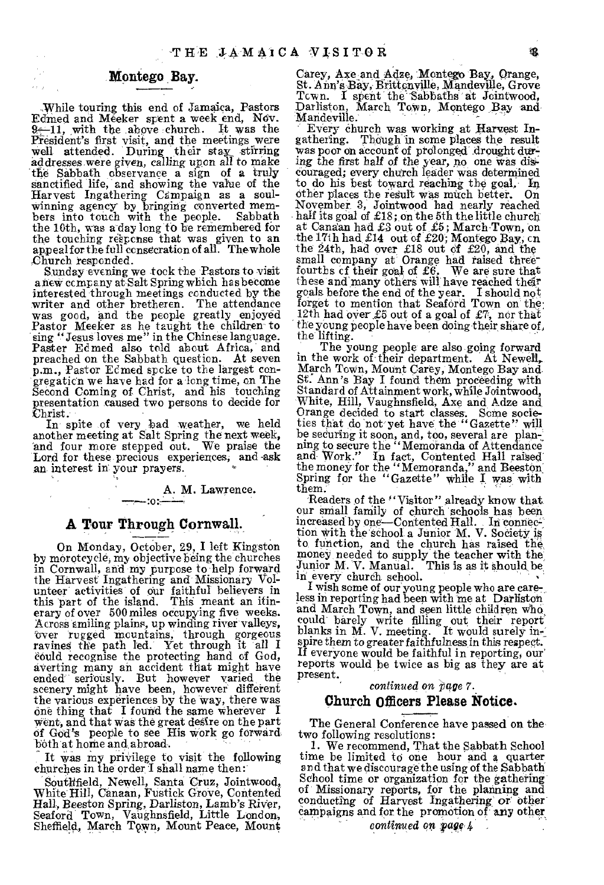### Montego Bay.

While touring this end of Jamaica, Pastors Edmed and Meeker spent a week end, Nov.  $-11$ , with the above church. It was the President's first visit, and the meetings were Well attended. During their stay\_ stirring addresses were given, calling upon all to make the Sabbath observance a sign of a truly Sanctified life, and showing the value of the Harvest Ingathering Campaign as a soul-winning agency by bringing converted mem-bers into touch with the people. Sabbath the 10th, was a day long to be remembered for the touching response that was given to an appeal for the full consecration of all. Thewhole Church responded.

Sunday evening we -took the Pastors to visit a new company at Salt Spring which ha s become interested through meetings conducted by the writer and other bretheren. The attendance was good, and the people greatly enjoyed Pastor Meeker as he taught the children to sing "Jesus loves me" in the Chinese language. Paster Ed med also told about Africa, and preached on the Sabbath question. At seven p.m., Pastor Edmed spoke to the largest congregation we have had for along time, on The Second Coming of Christ, and his touching presentation caused two persons to decide for  ${\rm Christ.}$ 

In spite of very bad weather, we held another meeting at Salt Spring the next week, and four more stepped out. We praise the Lord for these precious experiences, and -ask an interest in your prayers.

> A. M. Lawrence. :o::

### **A** Tour Through Cornwall.

On Monday, October, 29, I left Kingston by morotcycle, my objective being the churches in Cornwall, and my purpose to help forward the Harvest Ingathering and Missionary Volunteer activities of our faithful believers in this part of the island. This meant an itinerary of over 500 miles occupying five weeks. Across smiling plains, up winding river valleys,<br>
over rugged mountains, through gorgeous<br>
ravines the path led. Yet through it all I could recognise the protecting hand of God, averting many an accident that might have ended" seriously. But however varied the scenery might have been, however different the various experiences by the Way, there was one thing that I found the same wherever I went, and that was the great deSire on the part of God's people to see His work go forward, both at borne and abroad.

It was my privilege to visit the following churches in the order I shall name then:

Southfield, Newell, Santa Cruz, Jointwood, White Hill, Canaan, Fustick Grove, Contented Hall, Beeston Spring, Darliston, Lamb's River, Seaford Town, Vaughnsfield, Little London, Sheffield, March Town, Mount Peace, Mount

Carey, Axe and Adze, Montego Bay, Orange, St. Ana's Bay, Blitte nville, Mandeville, Grove Town. I spent the Sabbaths at Jointwood, Darliston, March Town, Montego Bay and Mandeville.

Every church was working at Harvest Ingathering. ThOugh in some places the result was poor on account of prolonged drought during the first half of the year, no one was dis-Couraged; every church leader was determined to do his best toward reaching the goal, In other places the result was much better. On November 3, Jointwood had nearly reached half its goal of £18; on the 5th the little church at Canaan had £3 out of £5; March Town, on the 17th had £14 out of £20; Montego Bay, on the 24th, had over £18 out of £20, and the small company at Orange had raised three-fourths of their goal of £6. We are sure that these and:many others will have reached their goals before the end of the year. I should not forget to mention that Seaford Town on the 12th had over £5 out of a goal of £7, nor that the young people have been doing their share of. the lifting.

The young people are also going forward in the work of their department. At Newell, March Town, Mount Carey, Montego Bay and. St. Ann's Bay I found them proceeding with Standard of Attainment work, while Jointwood, White, Hill, Vaughnsfield, Axe and Adze and Orange decided to start classes. Some societies that do not yet have the "Gazette" will be securing it soon, and, too, several are plan-<br>ning to secure the "Memoranda of Attendance and Work." In fact, Contented Hall raised

Readers of the "Visitor" already know that. our small faniily of church schools has been increased by one—Contented Hall. In connee= tion with the school a Junior M. V. Society is to function, and the church has raised the, money needed to supply the teacher with the Junior M. V. Manual. This is as it should be: in every church school.

I wish some of our young people who are care-, less in reporting had been with me at Darliston and March Town, and seen little children who could barely write filling out their report' blanks in M. V. meeting. It would surely in-<br>spire them to greater faithfulness in this respect. If everyone would be faithful in reporting, our' reports would be twice as big as they are at present.

### *continued* on *page* 7.

### Church Officers Please Notice.

The General Conference have passed on the two following resolutions:

1. We recommend, That the Sabbath School time be limited to one hour and a quarter and that we discourage the using of the Sabbath School time or organization for the gathering of Missionary reports, for the planning and conducting of Harvest Ingathering or othercampaigns and for the promotion of any other

*continued on vagg,4* .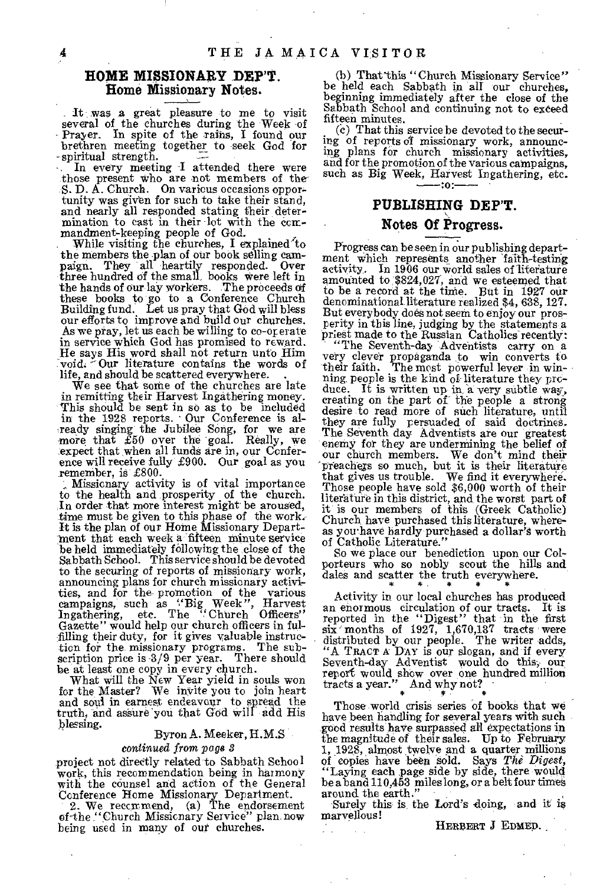### **HOME MISSIONARY .DEP'T. Home Missionary Notes.**

It was a great pleasure to me to visit several of the churches during the Week of Prayer. In spite of the rains, I found our brethren meeting together to seek God for -spiritual strength.

In every meeting I attended there were those present who are not members of the S. D. A. Church. On various occasions opportunity was given for such to take their stand, and nearly all responded stating their determination to cast in their lot with the commandrnent-keeping people of God.

While visiting the churches, I explained to the members the plan of our book selling cam-<br>paign. They all heartily responded. Over<br>three hundred of the small, books were left in the hands of our laY Workers. The proceeds of these books to go to a Conference Church Building fund. Let us pray that God will bless our efforts to improve and build our churches. As we pray, let us each be willing to co-operate in service which God has promised to reward. He says His word shall not return unto Him void. Our literature contains the words of life, and should be scattered everywhere.

We see that some of the churches are late in remitting their Harvest Ingathering money. This should he sent in so as to be included in the 1928 reports. - Our Conference is al- -ready singing the Jubilee Song, for we are more that £50 over the goal. Really, we expect that when all funds are in, our Conference will receive fully £900. Our goal as you remember, is £800.

Missionary activity is of vital importance to the health and prosperity of the church. In order that more interest might be aroused, time must be giVen to this phase of the work: It is the plan of our Home Missionary Department that each week a fifteen minute service be held immediately following the close of the Sabbath School. This service should be devoted to the securing of reports of missionary work, announcing plans for church missionary activi, ties, and for the- promotion of the various campaigns, such as "Big Week", Harvest Ingathering, etc. The "Church Officers" Gazette" would help our church officers in fulfilling their duty, for it gives valuable instruction for the missionary programs. The sub-scription price is -3/9 per year. There should be at least one copy in every church.

What will the New Year yield in souls won for the Master? We invite you to join heart and soul in earnest endeavour to spread the truth, and assure you that God will add His blessing.

### Byron A. Meeker, H.M.S

### *continued from page*

project not directly related to Sabbath School work, this recommendation being in harmony with the counsel and action of the General

Conference Home Missionary Department. 2. We recommend, (a) The endorsement of the "Church Missionary Service" plan now being used in many of out churches.

(b) That this "Church Missionary Service" be held each Sabbath in all our churches, beginning immediately after the close of the Sabbath School and continuing not to exceed fifteen minutes.

(c) That this service be devoted to the securing of reports of missionary work, announc-ing plans for church missionary activities, and for the promotion of the various campaigns, such as Big Week, Harvest Ingathering, etc. :o.

### **PUBLISHING DEP'T.**

### **Notes Of** Progress.

Progress can be seen in our publishing department which represents another 'faith-testing activity. In 1906 our world sales of literature amounted to \$824,027, and we esteemed that to be a record at the time. But in 1927 our denominational literature realized \$4, 638, 127. But everybody does not seem to enjoy our prosperity in this line, judging by the statements a priest made to the Russian Catholics recently:<br>"The Seventh-day Adventists carry on a

very clever propaganda to win converts to their faith. The most powerful lever in winning, people is the kind of literature they produce. It is written up in a very subtle way, creating on the part of the people a strong desire to read more of such literature, until they are fully persuaded of said doetrines. The Seventh day Adventists are our greatest enemy for they are undermining the belief of our church members. We don't mind their 'p'reaches so much, but it is their literature that gives us trouble. We find it everywhere. Those people have sold \$6,000 worth of their literature in this district, and the worst part of it is our members of this (Greek Catholic) Church have purchased this literature, whereas you have hardly purchased a dollar's worth<br>of Catholic Literature.''

So we place our benediction upon our Colporteurs who so nobly scout the hills and dales and scatter the truth everywhere.

Activity in our local churches has produced an enormous circulation of our tracts. It is<br>reported in the "Digest" that in the first<br>six "months of 1927, 1,670,137 tracts were<br>distributed by our people. The writer adds,<br>"A TRACT A DAY is our solone, and if every<br>Sev

Those world crisis series of books that we have been handling for several years with such good results have surpassed all expectations in the magnitude of their sales. Up to February 1, 1928, almost twelve and a quarter millions of copies have been Sold. Says *The Digest,*  "Laying each page Side by side, there would be a band 110,453 miles long, or a belt four times around the earth."

Surely this is the Lord's doing, and it is marvellous!

 $\mathbb{R}^{\mathbb{Z}}$ 

HERBERT J EDMED.

4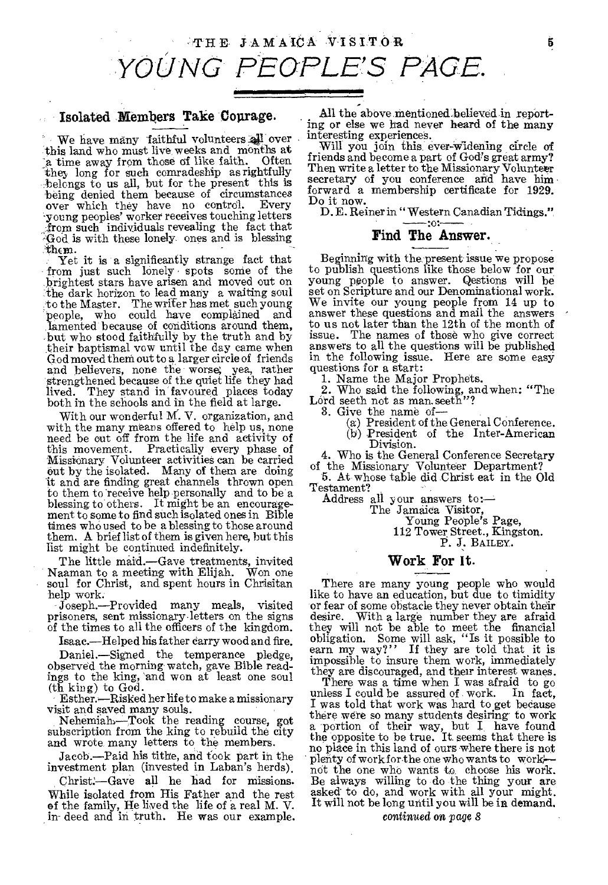### Isolated Members Take Courage.

We have many faithful volunteers all over this land who must live weeks and months at a time away from those of like faith. `they long for such comradeship as rightfully belongs to us all, but for the present this is being denied them because of circumstances<br>over which they have no control. Every over which they have no control. -young peoples' worker receives touching letters from such individuals revealing the fact that God is with these lonely ones and is blessing

Yet it is a significantly strange fact that from just such lonely spots some of the brightest stars have arisen and moved out on :the dark horizon to lead many a waiting soul to the Master. The writer has met such young people, who could have complained and Lamented because of conditions around them, but who stood faithfully by the truth and by their baptismal vow until the day came when God moved theni out to a larger circle of friends and believers, none the worse; yea, rather strengthened because of the quiet life they had lived. They stand in favoured places today both in the schools and in the field at large.

With our wonderful M. V. organization, and with the many means offered to help us, none need be out off from the life and activity of this movement. Practically every phase of Missionary Volunteer activities can be carried out by the isolated. Many of them are doing It and are finding great channels thrown open to them to receive help. personally and to be a blessing to others. It might be an encouragement to some to find such isolated ones in Bible times who used to be a blessing to those around them. A brief list of them is given here, but this list might be continued indefinitely.

The little maid.—Gave treatments, invited Naaman to a meeting with Elijah. Won one soul for Christ, and spent hours in Chrisitan help work.

Joseph.—Provided many meals, visited prisoners, sent missionary letters on the signs of the times to all the officers of the kingdom.

Isaac.—Helped his father carry wood and fire.

Daniel.—Signed the temperance pledge, observed the morning watch, gave Bible readings to the king, and won at least one soul (th king) to God.

Esther.—Risked her life to make a missionary

visit and saved many souls. Nehemialh—Took the reading course, got subscription from the king to rebuild the city and wrote many letters to the members.

Jacob .—Paid his tithe, and took part in the investment plan (invested in Laban's herds).

Christ —Gave all he had for missions. While isolated from His Father and the rest of the family, He lived the life of a real M. V. in- deed and in truth. He was our example.

All the above mentioned believed in reporting or else we had never heard of the many interesting experiences.

Will you join this ever-widening circle of friends and become a part of God's great army? Then write a letter to the Missionary Volunteer secretary of you conference and have himforward a membership certificate for 1929. Do it now.

D. E. Reiner in "Western Canadian Tidings."

## Find The Answer.

Beginning with the present issue we propose to publish questions like those below for our young people to answer. Qestions will be set on Scripture and our Denominational work. We invite our young people from 14 up to answer these questions and mail the answers to us not later than the 12th of the month of issue. The names of those who give correct answers to all the questions will be published in the following issue. Here are some easy questions for a start:

1. Name the Major Prophets.

2. Who said the following, and when: "The Lord seeth not as man. seeth"?

3. Give the name of—

(a) President of the General Conference.

(b) President of the Inter-American Division.

4. Who is the General Conference Secretary of the Missionary Volunteer Department?

5. At whose table did Christ eat in the Old Testament?

Address all your answers to:—

The Jamaiea Visitor,

Young People's Page, 112 Tower Street., Kingston. P. J. BAILEY.

### Work For It.

There are many young people who would like to have an education, but due to timidity or fear of some obstacle they never obtain their desire. With a large number they are afraid they will not be able to meet the financial obligation. Some will ask, "Is it possible to earn my way?" If they are told that it is impossible to insure them work, immediately they are discouraged, and their interest wanes.

There was a time when I was afraid to go less I could be assured of work. In fact, unless I could be assured of work. I was told that work was hard to get because there were so many students desiring to work a portion of their way, but I have found the opposite to be true. It seems that there is no place in this land of ours where there is not plenty of work for the one who wants to work/ not the one who wants to choose his work. Be always willing to do the thing your are asked to do, and work with all your might. It will not be long until you will be in demand.

### continued on page *8*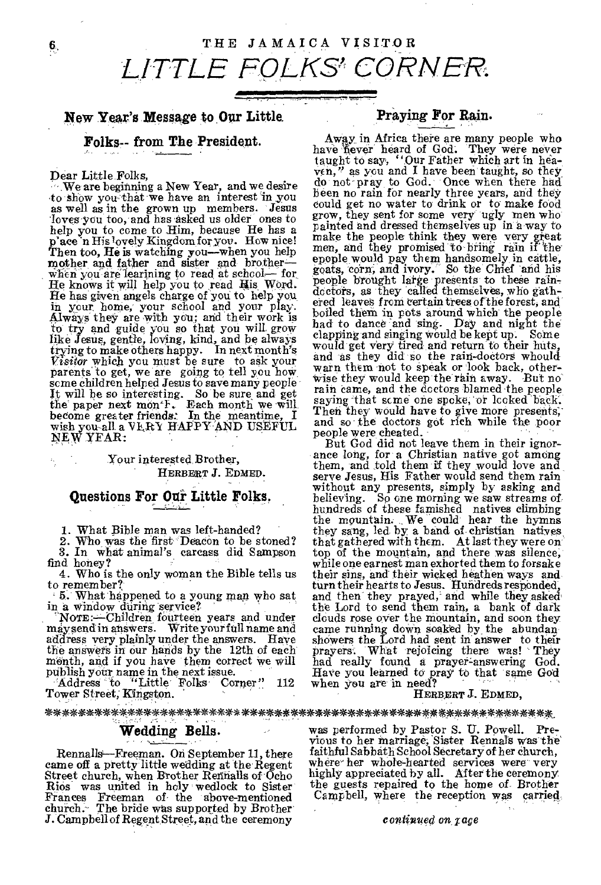### New Year's Message to Our Little. Praying For Rain.

as well as in the grown up members. Jesus could get no water to drink or to make rood loves you too, and has asked us older ones to grow, they sent for some very ugly men who help you to come to Him, because He has a paint place n Hislovely Kingdom for you. How nice! make the people think they were very great<br>Then too, He is watching you—when you help<br>mother and father and sister and brother—<br>when you are learning to read at school— for goat when you are learning to read at school— for<br>He knows it will help you to read His Word. people brought large presents to these rain-<br>He has given appels charge of you to help you doctors, as they called themselves, who ga He has given angels charge of you to help you, in your home, your school and your play.<br>In your home, your school and your play. like Jesus, gentle, loving, kind, and be always clapping and singing would be kept up. Some like Jesus, gentle, loving, kind, and be always clapping and singing would be kept up. Some trying to make others happy. In next m Visitor which you must be sure to ask your and as they did so the rain-doctors whould<br>parents to get, we are going to tell you how warn them not to speak or look back, other-<br>going children helped Jesus to save many people NEW YEAR: HAPPY AND USEFUL and so the doctors got rich while the poor<br>wish you-all a VLRY HAPPY AND USEFUL people were cheated.

address very plainly under the answers. Have showers the Lord had sent in answer to their<br>the answers in our hands by the 12th of each prayers. What rejoicing there was! They the answers in our hands by the 12th of each menth, and if you have them correct we will

Modress to "Little Folks Corner" 112 when you are in need?<br>Tower Street, Kingston. HERBERT J. EDMED,

**Folks-- from The President.** Away in Africa there are many people who have hever heard of God. They were never taught to say, "Our Father which art in hea-Dear Little. Folks,  $\frac{\text{ven}}{\text{20}}$ ,  $\frac{\text{ven}}{\text{20}}$ , as you and I have been taught, so they We are beginning a New Year, and we desire  $\frac{d}{dx}$  for not pray to God. Once when there had<br>to show you that we have an interest in you been no rain for nearly three years, and they<br>as well as in the grown up members. J in your nome, your sensou and your play.<br>Always they are with you; and their work is had to dance and sing. Day and night the<br>to try and guide you so that you will grow had to dance and sing. Day and night the from certain trees some children helped Jesus to save many people wise they would keep the rain away. But no<br>It will be so interesting. So be sure and get rain came, and the doctors blamed the people<br>the paper next month. Each month we will the paper hext mon r. become month we will.<br>become greater friends. In the meantime, I Then they would have to give more presents,<br>wish you all a VkRY HAPPY AND USEFUL and so the doctors got rich while the poor

But God did not leave them in their ignor-Your interested Brother, ance long, for a Christian native got among them, and told them if they would love and HERBERT J. EDMED. serve Jesus, His Father would send them rain **Questions For Our Little Folks.** Without any presents, simply by asking and **Questions For Our Little Folks.** believing. So one morning we saw streams of hundreds of these famished natives climbing<br>the mountain. We could hear the hymns<br>in What Bible man was left-handed?<br>they sang, led by a band of christian natives 2. Who was the first "Deacon to be stoned? that gathered with them. At last they were on 3. In what animal's carcass did Sampson top of the mountain, and there was silence, 3. In what animal's carcass did Sampson top of the mountain, and there was silence, find honey?<br>4. Who is the only woman the Bible tells us their sins, and their wicked heathen ways and 4. Who is the only woman the Bible tells us their sins, and their wicked heathen ways and to remember? to remember?<br>
- 5. What happened to a young man who sat and then they prayed, and while they asked<br>
in a window during service?<br>
- the Lord to send them rain, a bank of dark 5. What happened to a young man who sat and then they prayed, and while they asked<br>in a window during service?<br>Nore:--Children fourteen years and under clouds rose over the mountain, and soon they<br>maysend in answers. Write came running down soaked by the abundan showers the Lord had sent in answer to their the answers in our hands by the 12th of each prayers. What rejoicing there was! They month, and if you have them correct we will had really found a prayer-answering God. publish your name in the next issue. Have you learne

### \*\*\*\*\*-ilk\*--\*\*A.\*\*\*\*44 it \*\*\*et-\*\*\*\*\*\*\*\*4\*-\*\*\*\*--\*\*\*\*\*\*\*\*\*/\*\*\*0- /1k-/r,7-k\*\*\*,\*-)k, -

came off a pretty little wedding at the Regent Street church, when Brother Rennalls of Ocho Frances Freeman of the above-mentioned Campbell, where the reception was carried-<br>church. The bride was supported by Brother J. Campbell of Regent Street, and the ceremony *confinued on rage* 

**Wedding Bells.** was performed by Pastor S. U. Powell. Previous to her marriage, Sister Rennals was the Rennalls—Freeman. On September 11, there faithful Sabbath School Secretary of her church,<br>me off a pretty little wedding at the Regent where her whole-hearted services were very Street church, when Brother Retrialis of Ocho highly appreciated by all. After the ceremony Rios was united in holy wedlock to Sister the guests repaired to the home of. Brother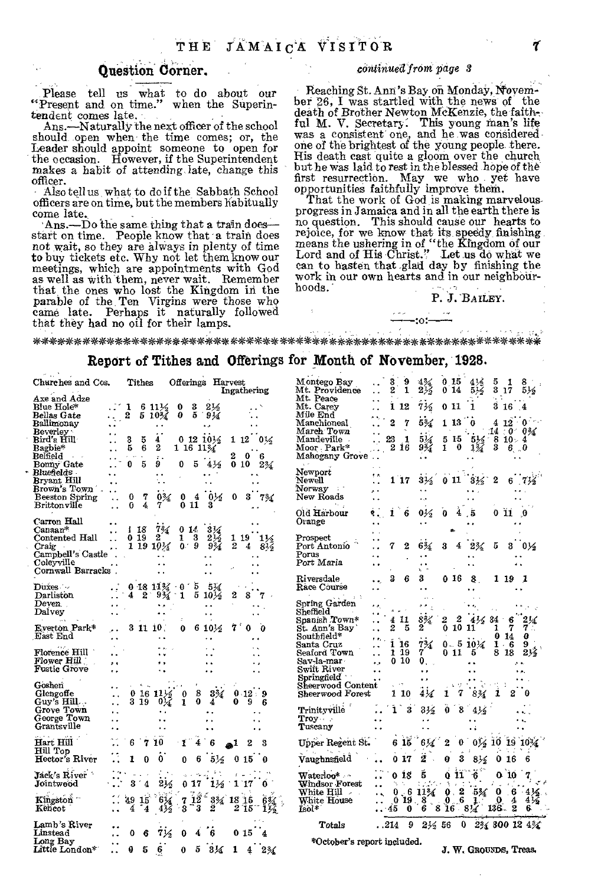### Question Corner.

Please tell us what to do about our "Present and on time." when the Superintendent comes late.

Ans.—Naturally the next officer of the school should open when the time comes; or, the Leader should appoint someone to open far the occasion. However, if the Superintendent makes a habit of attending late, change this officer.

Also tell us what to do if the Sabbath School officers are on time, but the members habitually come late.

'Ans.—Do the same thing that a train does start on time. People know that a train does not wait, so they are always in plenty of time to buy tickets etc. Why not let them know our meetings, which are appointments with God as well as with them, never wait. Remember that the ones who lost the Kingdom in the parable of the. Ten Virgins were those who came late. Perhaps it naturally followed that they had no oil for their lamps.

### *continued' rom page 3*

Reaching St. Ann's Bay on Monday, Novembet 26, I was startled with the news of the death of Brother Newton MCKenzie, the faith-ful M. V. Secretary. This young man's life was a consistent one, and he was considered one of the brightest of the young people. there. His death cast quite a gloom over the church but he was laid to rest in the blessed hope of the first resurrection. May we who yet have opportunities faithfully improve them.

That the work of God is making marvelousprogress in Jamaica and in all the earth there is no question. This should cause our hearts to rejoice, for we know that its speedy finishing means the ushering in of "the Kingdom of our<br>Lord and of His Christ." Let us do what we<br>can to hasten that glad day by finishing the work in our own hearts and in our neighbourhoods.'

 $-10:$ 

### P. J. BAILEY.

\*\*\*\*\*\*\*\*\*\*\*\*\*\*\*\*\*\*\*\*\*\*\*\*\*\*\*\*\*\*\*\*\*\*\*\*\*4\*-14-\*\*\*4\*\* aX \*\*\*\*\*\*\*:'/4/

### Report of Tithes and Offerings for Month of November, 1928.

| Churches and Cos.    |                      |    | ${\rm Tithes}$ |                       |               |         | Offerings Harvest    |                  | Ingathering          |                | Montego Bay<br>Mt. Providence               |                      | 2       | 9<br>1          | $4\%$<br>$2\frac{1}{2}$ | 0 15<br>014             | 414<br>516                          | 5            | 1<br>$3\,17$ | 516                                   |
|----------------------|----------------------|----|----------------|-----------------------|---------------|---------|----------------------|------------------|----------------------|----------------|---------------------------------------------|----------------------|---------|-----------------|-------------------------|-------------------------|-------------------------------------|--------------|--------------|---------------------------------------|
| Axe and Adze         |                      |    |                |                       |               |         |                      |                  |                      |                | Mt. Peace                                   |                      |         |                 |                         |                         |                                     |              |              |                                       |
| Blue Hole*           |                      |    |                | $611\frac{1}{2}$      | 0             | 3       | 21⁄2                 |                  |                      |                | Mt. Carey                                   |                      |         | 1 12            | 7½                      | 0 11                    | 1                                   |              | 316.4        |                                       |
|                      |                      | 2  |                |                       | 0             | 5       |                      |                  |                      |                | Mile End                                    |                      |         |                 |                         |                         |                                     |              |              |                                       |
| Bellas Gate          |                      |    |                | $510\%$               |               |         | 9¼                   |                  |                      |                |                                             |                      |         |                 |                         |                         |                                     |              |              |                                       |
| Ballimonav           |                      |    |                |                       |               |         |                      |                  |                      |                | Manchioneal                                 |                      | 2       | 7               | 5%                      | 1 13                    | $^{\circ}$                          |              |              | $4\;12\;0$                            |
| Beverley ·           |                      |    |                |                       |               |         |                      |                  |                      |                | March Town                                  |                      |         |                 |                         |                         |                                     |              |              | $14.0.0\%$                            |
| Bird's Hill          |                      | 3  | 5              | 4                     |               |         | $0.12 10\%$          | 112              |                      | $0\frac{1}{2}$ | Mandeville.                                 |                      |         | 1               | $5\%$                   | 5 15                    | $\frac{5\frac{1}{2}}{1\frac{3}{4}}$ | $-810-4$     |              |                                       |
| Bagbie*              |                      | 5  | 6              | 2                     | $1\,16\,11\%$ |         |                      |                  |                      |                | Moor Park*                                  |                      |         | 2 16            | 9%                      | 0<br>1                  |                                     | 3            | $6\,0$       |                                       |
|                      |                      |    |                |                       |               |         |                      |                  |                      |                |                                             |                      |         |                 |                         |                         |                                     |              |              |                                       |
| Belfield             |                      |    |                |                       |               |         |                      | 2                | 0                    | 6              | Mahogany Grove                              |                      |         |                 |                         |                         |                                     |              |              |                                       |
| Bonny Gate           |                      | 0  | 5              | 9                     | 0             | 5       | 4½                   |                  | 0 10                 | $2\%$          |                                             |                      |         |                 |                         |                         |                                     |              |              |                                       |
| Bluefields -         |                      |    |                |                       |               |         |                      |                  |                      |                | Newport                                     | e a                  |         |                 |                         |                         |                                     |              |              |                                       |
| Bryant Hill          |                      |    |                |                       |               |         |                      |                  |                      |                | Newell                                      |                      |         | 1 17            | $3\frac{1}{2}$          |                         | $0113\frac{1}{2}$                   | 2            |              |                                       |
| Brown's Town         |                      |    |                |                       |               |         |                      |                  |                      |                | Norway :                                    |                      |         |                 |                         |                         |                                     |              |              |                                       |
| Beeston Spring       |                      | 0  | 7              | $0\%$                 | 0             |         | 0.55                 | 0                |                      |                | New Roads                                   |                      |         |                 |                         |                         |                                     |              |              |                                       |
|                      |                      |    |                |                       |               | 4       |                      |                  |                      | 734            |                                             |                      |         |                 |                         |                         |                                     |              |              |                                       |
| Brittonville         | $\ddot{\phantom{a}}$ | 0  | 4              | 7                     |               | 011     | 3                    |                  |                      |                |                                             |                      |         |                 |                         |                         |                                     |              |              |                                       |
|                      |                      |    |                |                       |               |         |                      |                  |                      |                | Old Harbour                                 |                      | 1       | 6               | $0\frac{1}{2}$          | 0<br>4                  | . 5                                 |              | 011          | $\boldsymbol{\theta}$                 |
| Carron Hall          |                      |    |                |                       |               |         |                      |                  |                      |                | Orange                                      |                      |         |                 |                         |                         |                                     |              |              |                                       |
| Canaan*              |                      |    | i 18           | $7\%$                 |               | 014     | $3\,\%$              |                  |                      |                |                                             |                      |         |                 |                         |                         |                                     |              |              |                                       |
| Contented Hall       |                      |    | 0 19           | 2                     | 1             | 3       | $2\frac{1}{2}$       |                  | 1 19                 | 1½             | Prospect                                    |                      |         |                 |                         |                         |                                     |              |              |                                       |
|                      |                      |    |                |                       |               | -9      |                      |                  |                      |                |                                             |                      |         |                 |                         |                         |                                     |              |              |                                       |
| Craig                |                      |    |                | 1 19 10 $\frac{1}{4}$ | 0.1           |         | 9%                   | $\boldsymbol{2}$ | 4                    | $8\frac{1}{2}$ | Port Antonio                                |                      |         | 2               | 6%                      |                         | 2%                                  | 5            | 3            | - 014                                 |
| Campbell's Castle    |                      |    |                |                       |               |         |                      |                  |                      |                | Porus                                       | ٠.                   |         |                 |                         |                         |                                     |              |              |                                       |
| Coleyville           |                      |    |                |                       |               |         |                      |                  |                      |                | Port Maria                                  |                      |         |                 |                         |                         |                                     |              |              |                                       |
| Cornwall Barracks.   |                      |    |                |                       |               |         |                      |                  |                      |                |                                             |                      |         |                 |                         |                         |                                     |              |              |                                       |
|                      |                      |    |                |                       |               |         |                      |                  |                      |                | Riversdale                                  |                      | 3       | 6               | 3                       | O 16                    | 8.                                  |              | 1 19         | - 1                                   |
|                      |                      |    |                |                       |               |         |                      |                  |                      |                |                                             |                      |         |                 |                         |                         |                                     |              |              |                                       |
| Duxes —              |                      |    |                | $0.1811\%$ 0          |               | 5       | $5\%$                |                  |                      |                | Race Course                                 |                      |         |                 | $\ddot{\phantom{a}}$    |                         |                                     |              |              |                                       |
| Darliston            |                      | 4  | 2              | $9\frac{3}{4}$        | 1             | 5       | $10\frac{1}{2}$      | 2                | 8                    |                |                                             |                      |         |                 |                         |                         |                                     |              |              |                                       |
| Deven.               |                      |    |                |                       |               |         |                      |                  |                      |                | Spring Garden                               |                      |         |                 |                         |                         |                                     |              |              |                                       |
| Dalvey               |                      |    |                |                       |               |         |                      |                  |                      |                | Sheffield                                   |                      |         |                 |                         |                         |                                     |              |              |                                       |
|                      |                      |    |                |                       |               |         |                      |                  |                      |                | Soanish Town*                               |                      |         | 411             | 8%                      | 2                       |                                     | $4/6$ $34$   | 6            |                                       |
|                      |                      |    |                |                       |               |         |                      | 7                |                      |                |                                             |                      |         | 5               | 2                       | 0                       | 10 11                               | 1            | 7            | 7 .                                   |
| Everton Park*        |                      |    |                | 3 11 10.              | 0             |         | $610\%$              |                  |                      |                | St. Ann's Bay                               |                      |         |                 |                         |                         |                                     |              |              |                                       |
| East End             |                      |    |                |                       |               |         | . .                  |                  | . .                  |                | Southfield*                                 |                      |         |                 |                         |                         |                                     | 0            | -14          | Ø.                                    |
|                      |                      |    |                |                       |               |         |                      |                  |                      |                | Santa Cruz                                  |                      |         | 116             | 7%                      |                         | $0 - 510\%$                         |              | $1 - 6$      | 9.                                    |
| <b>Florence Hill</b> |                      |    |                |                       |               |         |                      |                  |                      |                | Seaford Town                                |                      |         | 1 19            | 7                       | 011                     | 5                                   |              | 8 18         | $2\%$                                 |
| Flower Hill          |                      |    |                |                       |               |         |                      |                  |                      |                | Sav-la-mar                                  | . .                  |         | 0 10            | 0.                      |                         |                                     |              |              |                                       |
| <b>Fustic Grove</b>  | $\cdot$              |    |                |                       |               |         | $\ddot{\phantom{1}}$ |                  | $\ddot{\phantom{1}}$ |                | Swift Rıver                                 |                      |         |                 |                         |                         |                                     |              |              |                                       |
|                      | $\ddot{\phantom{a}}$ |    |                |                       |               |         | $\sim$               |                  | $\ddot{\phantom{a}}$ |                |                                             |                      |         |                 |                         |                         |                                     |              |              |                                       |
|                      |                      |    |                |                       |               |         |                      |                  |                      |                | Springfield                                 |                      |         |                 |                         |                         |                                     |              |              |                                       |
| Goshen               |                      |    |                |                       |               |         |                      |                  |                      |                | Sheerwood Content                           |                      |         | $\epsilon$ 7    |                         |                         |                                     |              |              |                                       |
| Glengoffe            |                      |    |                | $01611\%$             | 0             | 8       | $3\%$                |                  | $0.12 - 9$           |                | Sheerwood Forest                            |                      |         | 1 10            | $4\%$                   | 1                       | 8%                                  | 1            |              |                                       |
| Guy's Hill           | ٠.                   |    | 3 19           | $0\frac{1}{2}$        | 1             | 0       | 4                    | 0                | 9                    | 6              |                                             |                      |         |                 |                         |                         |                                     |              |              |                                       |
| Grove Town           |                      |    |                |                       |               |         |                      |                  |                      |                | Trinityville                                |                      | ĩ       | 3               | $3\frac{1}{2}$          | 8<br>0                  | $4\frac{1}{2}$                      |              |              |                                       |
|                      | . .                  |    |                | ٠.                    |               |         |                      |                  |                      |                |                                             |                      |         |                 |                         |                         |                                     |              |              |                                       |
| George Town          | . .                  |    |                |                       |               |         |                      |                  |                      |                | $Troy \sim$                                 |                      |         |                 |                         |                         |                                     |              |              |                                       |
| Grantsville          | . .                  |    |                |                       |               |         |                      |                  |                      |                | Tuscany                                     |                      |         |                 |                         |                         |                                     |              |              |                                       |
|                      |                      |    |                |                       |               |         |                      |                  |                      |                |                                             |                      |         |                 |                         |                         |                                     |              |              |                                       |
| Hart Hill            |                      |    | 7              | 10                    | 1             |         |                      |                  |                      |                | Upper Regent St.                            |                      | 6       | 15              | 6¼                      |                         |                                     |              |              | $0\frac{1}{2}$ 10 19 10 $\frac{1}{2}$ |
| Hill Top             |                      |    |                |                       |               |         |                      |                  |                      |                |                                             |                      |         |                 |                         |                         |                                     |              |              |                                       |
| Hector's River       |                      |    |                | 0                     |               | 6       | $5\frac{1}{2}$       |                  | 015                  |                | Vaughnsfield                                |                      |         | 017             | 2                       | 0                       | 3                                   |              | 016          | 6                                     |
|                      |                      | 1  | 0              |                       | 0             |         |                      |                  |                      | -0             |                                             |                      |         |                 |                         |                         | $8\frac{1}{2}$                      |              |              |                                       |
|                      |                      |    |                |                       |               |         |                      |                  |                      |                |                                             |                      |         |                 |                         |                         |                                     |              |              |                                       |
| Jack's River         |                      |    |                |                       |               |         |                      |                  |                      |                | $\mathbf{Waterloo*}$ . $\mathbf{\hat{\ } }$ |                      |         | 0 18            | š                       | 0 II                    |                                     |              | 010          |                                       |
| Jointwood            |                      |    | 4              | 216                   |               | 0 17    | $1\frac{1}{2}$       |                  | 1'17                 | 0              | Windsor Forest                              |                      | ъ.      |                 |                         |                         |                                     |              |              |                                       |
|                      |                      |    |                |                       |               |         |                      |                  |                      |                | White $\mathrm{Hil}$                        | $\ddot{\phantom{1}}$ |         |                 | 0.611%                  | 0.2                     | $-5\frac{3}{4}$                     | $\mathbf{o}$ |              | $6-4\frac{1}{2}$                      |
|                      |                      | 49 | 15             | $6\frac{1}{4}$        |               | $7\,12$ | 3% 18 15             |                  |                      |                |                                             |                      |         |                 |                         | 0                       |                                     | $\Omega$     |              |                                       |
| Kingston             |                      |    |                |                       |               |         |                      |                  |                      |                | White House                                 |                      | 0       | 19 <sub>1</sub> | 8                       | $\overline{\mathbf{5}}$ |                                     |              | 4            | $4\frac{1}{2}$                        |
| Kencot               |                      |    |                |                       | 3             | 3       | 2                    |                  | $2^{\circ}15$        |                | Isol*                                       |                      | -45     | $\bf{0}$        | 6                       | 81684                   |                                     | 136.         | 2            | 6.                                    |
|                      |                      |    |                |                       |               |         |                      |                  |                      |                |                                             |                      |         |                 |                         |                         |                                     |              |              |                                       |
| Lamb's River         |                      |    |                |                       |               |         |                      |                  |                      |                | Totals                                      |                      | . . 214 | 9               | $2\frac{1}{2}$ 56       |                         |                                     |              |              | 0 234 300 12 434                      |
| Linstead             |                      |    |                |                       |               |         |                      |                  | 0 15                 | 4              |                                             |                      |         |                 |                         |                         |                                     |              |              |                                       |
| Long Bay             |                      |    |                |                       |               |         |                      |                  |                      |                |                                             |                      |         |                 |                         |                         |                                     |              |              |                                       |
|                      |                      |    |                |                       |               | 5       |                      |                  |                      |                | *October's report included.                 |                      |         |                 |                         |                         |                                     |              |              |                                       |
| Little London*       |                      |    |                |                       |               |         | $3\frac{1}{4}$       |                  |                      | 2%             |                                             |                      |         |                 |                         |                         | J. W. Grouxds. Treas.               |              |              |                                       |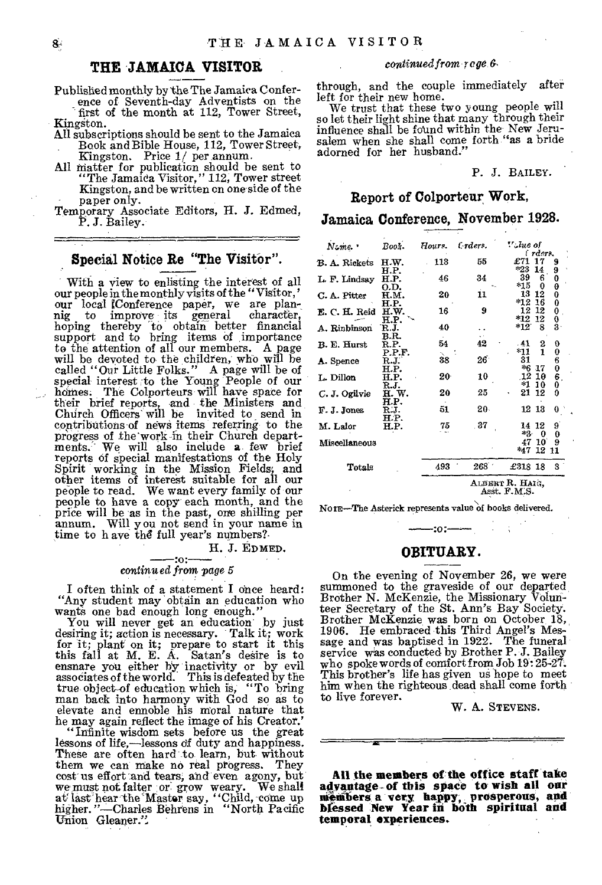### **THE 'JAMAICA VISITOR**

Published monthly by 'the The Jamaica Conference of Seventh-day Adventists on the

first of the month at 112, Tower Street, Kingston.

- All subscriptions should be sent to the Jamaica Book and Bible House, 112, Tower Street, Kingston. Price 1/ per.annum.
- All matter for publication should be sent to
- "The Jamaica Visitor," 112, Tower street Kingston, and be written on one side of the paper only.
- Temporary Associate Editors, H. J. Edmed, P. J. Bailey.

### Special Notice Re "The Visitor".

With a view to enlisting the interest of all our people in the monthly visits of the " Visitor, ' our local [Conference paper, we are plan-nig to improve its general character, hoping thereby to obtain better financial support and to bring items of importance to the attention of all our members. A page will be devoted to the children, who will he called "Our Little Folks." A page will be of special interest to the Young People of our homes. The Colporteurs will have space for their brief reports, and the Ministers and Church Officers will be invited to send in contributions of news items referring to the progress of the'work in their Church depart-ments. We will also include a. few brief reports of special manifestations of the Holy Spirit working in the Mission Fields; and other items of interest suitable for all our people to read. We want every family. of our people to have a copy each month, and the price will be as in the past, one shilling per annum. Will you not send in your name in time to have the full year's numbers?-

H. J. EDMED.

# --:0 *continued* from *page 5*

I often think of a statement I once heard: "Any student may obtain an education who wants one bad enough long enough."

You will never get an education by just desiring it; action is necessary. Talk it; work for it; plant on it; prepare to start it this this fall at M. E. A. Satan's desire is to ensnare you either by inactivity or by evil associates of the world. This is defeated by the true object-of education which is, "To bring man back into harmony with God so as to elevate and ennoble his moral nature that he may again reflect the image of his Creator.

"Infinite wisdom sets before us the great lessons of life,—lessons df duty and happiness. These are often hard to learn, but without them we can make no real progress. They cost us effort and tears, and even agony, but we must not falter or: grow weary. We shall at last hear the Master say, "Child, come up<br>higher. "—Charles Behrens in "North Pacific Union Gleaner.",

### *continued from rage 6,*

through, and the couple immediately after left for their new home.

We trust that these two young people will so let their light shine that many through their influence shall be found within the New Jeru-salem when she shall come forth "as a bride adorned for her husband."

### P. J. BAILEY.

### **Report of Colporteur Work,**

### **Jamaica Conference, November 1928.**

| Name.                | Book.          | Hours. | $t$ rders.                      | V.Jue of<br>i raers.                                      |  |  |  |  |  |  |  |  |
|----------------------|----------------|--------|---------------------------------|-----------------------------------------------------------|--|--|--|--|--|--|--|--|
| <b>B. A. Rickets</b> | H.W.           | 118    | 55                              | £71<br>17<br>9                                            |  |  |  |  |  |  |  |  |
| L. F. Lindsay        | H.P.<br>H.P.   | 46     | 34                              | *23<br>14<br>9<br>39<br>6<br>0                            |  |  |  |  |  |  |  |  |
| C. A. Pitter         | 0.D.<br>н.м.   | 20     | 11                              | *15<br>0<br>θ<br>13<br>12<br>0                            |  |  |  |  |  |  |  |  |
| E. C. H. Reid        | H.P.<br>H.W.   | 16     | 9                               | $*12$<br>0<br>16<br>12<br>12<br>0                         |  |  |  |  |  |  |  |  |
| A. Rinbinson         | H.P.<br>R.J.   | 40     |                                 | $*12$<br>12<br>0<br>$\bf{3}$<br>$*12$<br>8                |  |  |  |  |  |  |  |  |
| B. E. Hurst          | B.R.<br>R.P.   | 54     | 42                              | 2<br>. 41<br>O                                            |  |  |  |  |  |  |  |  |
| A. Spence            | P.P.F.<br>R.J. | 38     | 26                              | 1<br>*11<br>0<br>31<br>$^6_0$                             |  |  |  |  |  |  |  |  |
| L. Dillon            | H.P.<br>H.P.   | 20     | 10                              | *6<br>-17<br>6<br>$_{12}$<br>10                           |  |  |  |  |  |  |  |  |
| C. J. Ogilvie        | R.J.<br>H. W.  | 20     | 25                              | *1<br>10<br>0<br>21<br>12<br>O                            |  |  |  |  |  |  |  |  |
| F. J. Jones          | H.P.<br>R.J.   | 51     | $20 -$                          | $12\ \ 13$<br>G.                                          |  |  |  |  |  |  |  |  |
| M. Lalor             | H.P.<br>H.P.   | 75     | . 87                            | 9<br>14 12<br>$*2.$                                       |  |  |  |  |  |  |  |  |
| Miscellaneous        |                |        |                                 | $\boldsymbol{0}$<br>0<br>10<br>9<br>47<br>12<br>*47<br>11 |  |  |  |  |  |  |  |  |
| Totals               |                | 493    | $268$ $^{\circ}$                | £318 18<br>3                                              |  |  |  |  |  |  |  |  |
|                      |                |        | Albert R. Haig.<br>Asst. F.M.S. |                                                           |  |  |  |  |  |  |  |  |

NorE-The Asterick represents value of books delivered.

### **OBITUARY.**

 $-30$  :  $-$ 

On the evening of November 26, we were summoned to the graveside of our departed Brother N. McKenzie, the Missionary Volun-teer Secretary of the St. Ann's Bay Society. Brother McKenzie was born on October 18, 1906. He embraced this Third Angel's Message and was baptised in 1922. The funeral service was conducted by Brother P. J. Bailey who spoke words of comfort from Job 19:25-27. This brother's life has given us hope to meet him when the righteous dead shall come forth to live forever.

W. A. STEVENS.

**All the members of the office staff take advantage-.of this space to wish all our members a' very, happy, prosperous, and bfessed New Year in both spiritual and temporal experiences.**